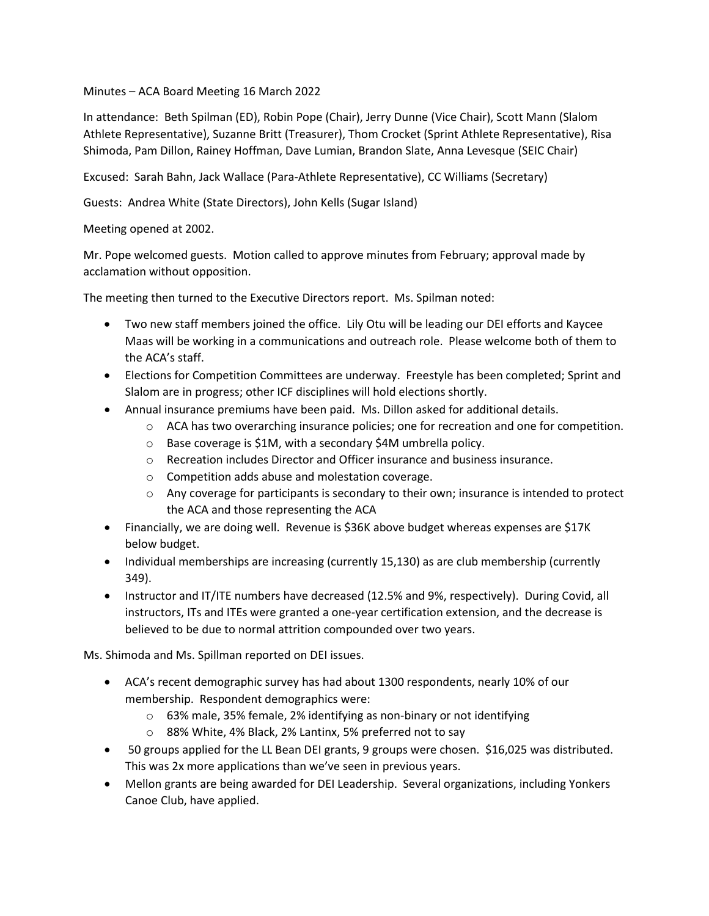## Minutes – ACA Board Meeting 16 March 2022

In attendance: Beth Spilman (ED), Robin Pope (Chair), Jerry Dunne (Vice Chair), Scott Mann (Slalom Athlete Representative), Suzanne Britt (Treasurer), Thom Crocket (Sprint Athlete Representative), Risa Shimoda, Pam Dillon, Rainey Hoffman, Dave Lumian, Brandon Slate, Anna Levesque (SEIC Chair)

Excused: Sarah Bahn, Jack Wallace (Para-Athlete Representative), CC Williams (Secretary)

Guests: Andrea White (State Directors), John Kells (Sugar Island)

Meeting opened at 2002.

Mr. Pope welcomed guests. Motion called to approve minutes from February; approval made by acclamation without opposition.

The meeting then turned to the Executive Directors report. Ms. Spilman noted:

- Two new staff members joined the office. Lily Otu will be leading our DEI efforts and Kaycee Maas will be working in a communications and outreach role. Please welcome both of them to the ACA's staff.
- Elections for Competition Committees are underway. Freestyle has been completed; Sprint and Slalom are in progress; other ICF disciplines will hold elections shortly.
- Annual insurance premiums have been paid. Ms. Dillon asked for additional details.
	- o ACA has two overarching insurance policies; one for recreation and one for competition.
	- o Base coverage is \$1M, with a secondary \$4M umbrella policy.
	- o Recreation includes Director and Officer insurance and business insurance.
	- o Competition adds abuse and molestation coverage.
	- $\circ$  Any coverage for participants is secondary to their own; insurance is intended to protect the ACA and those representing the ACA
- Financially, we are doing well. Revenue is \$36K above budget whereas expenses are \$17K below budget.
- Individual memberships are increasing (currently 15,130) as are club membership (currently 349).
- Instructor and IT/ITE numbers have decreased (12.5% and 9%, respectively). During Covid, all instructors, ITs and ITEs were granted a one-year certification extension, and the decrease is believed to be due to normal attrition compounded over two years.

Ms. Shimoda and Ms. Spillman reported on DEI issues.

- ACA's recent demographic survey has had about 1300 respondents, nearly 10% of our membership. Respondent demographics were:
	- o 63% male, 35% female, 2% identifying as non-binary or not identifying
	- o 88% White, 4% Black, 2% Lantinx, 5% preferred not to say
- 50 groups applied for the LL Bean DEI grants, 9 groups were chosen. \$16,025 was distributed. This was 2x more applications than we've seen in previous years.
- Mellon grants are being awarded for DEI Leadership. Several organizations, including Yonkers Canoe Club, have applied.